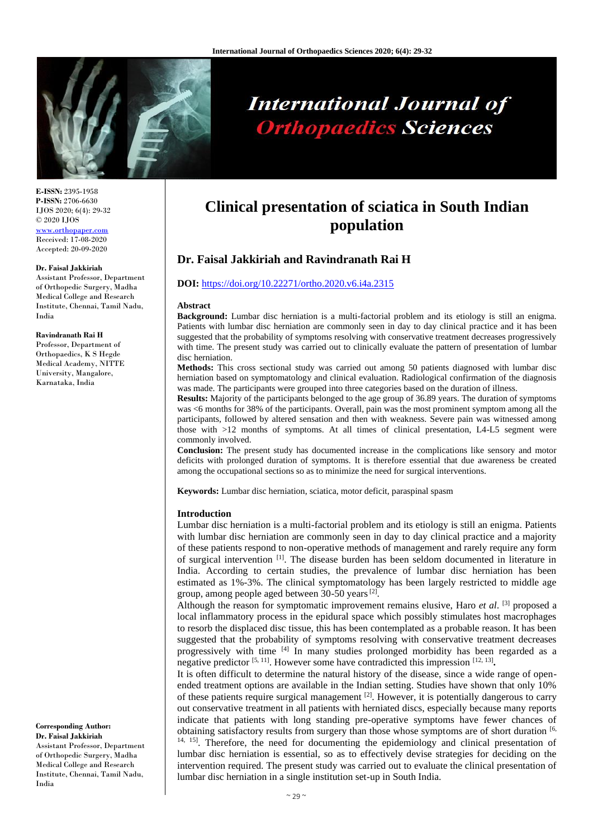

# **International Journal of Orthopaedics Sciences**

**E-ISSN:** 2395-1958 **P-ISSN:** 2706-6630 IJOS 2020; 6(4): 29-32 © 2020 IJOS [www.orthopaper.com](http://www.orthopaper.com/) Received: 17-08-2020 Accepted: 20-09-2020

### **Dr. Faisal Jakkiriah**

Assistant Professor, Department of Orthopedic Surgery, Madha Medical College and Research Institute, Chennai, Tamil Nadu, India

#### **Ravindranath Rai H**

Professor, Department of Orthopaedics, K S Hegde Medical Academy, NITTE University, Mangalore, Karnataka, India

**Corresponding Author: Dr. Faisal Jakkiriah** Assistant Professor, Department of Orthopedic Surgery, Madha Medical College and Research Institute, Chennai, Tamil Nadu, India

# **Clinical presentation of sciatica in South Indian population**

# **Dr. Faisal Jakkiriah and Ravindranath Rai H**

# **DOI:** <https://doi.org/10.22271/ortho.2020.v6.i4a.2315>

#### **Abstract**

**Background:** Lumbar disc herniation is a multi-factorial problem and its etiology is still an enigma. Patients with lumbar disc herniation are commonly seen in day to day clinical practice and it has been suggested that the probability of symptoms resolving with conservative treatment decreases progressively with time. The present study was carried out to clinically evaluate the pattern of presentation of lumbar disc herniation.

**Methods:** This cross sectional study was carried out among 50 patients diagnosed with lumbar disc herniation based on symptomatology and clinical evaluation. Radiological confirmation of the diagnosis was made. The participants were grouped into three categories based on the duration of illness.

**Results:** Majority of the participants belonged to the age group of 36.89 years. The duration of symptoms was <6 months for 38% of the participants. Overall, pain was the most prominent symptom among all the participants, followed by altered sensation and then with weakness. Severe pain was witnessed among those with >12 months of symptoms. At all times of clinical presentation, L4-L5 segment were commonly involved.

**Conclusion:** The present study has documented increase in the complications like sensory and motor deficits with prolonged duration of symptoms. It is therefore essential that due awareness be created among the occupational sections so as to minimize the need for surgical interventions.

**Keywords:** Lumbar disc herniation, sciatica, motor deficit, paraspinal spasm

### **Introduction**

Lumbar disc herniation is a multi-factorial problem and its etiology is still an enigma. Patients with lumbar disc herniation are commonly seen in day to day clinical practice and a majority of these patients respond to non-operative methods of management and rarely require any form of surgical intervention [1]. The disease burden has been seldom documented in literature in India. According to certain studies, the prevalence of lumbar disc herniation has been estimated as 1%-3%. The clinical symptomatology has been largely restricted to middle age group, among people aged between 30-50 years<sup>[2]</sup>.

Although the reason for symptomatic improvement remains elusive, Haro *et al*. [3] proposed a local inflammatory process in the epidural space which possibly stimulates host macrophages to resorb the displaced disc tissue, this has been contemplated as a probable reason. It has been suggested that the probability of symptoms resolving with conservative treatment decreases progressively with time [4] In many studies prolonged morbidity has been regarded as a negative predictor <sup>[5, 11]</sup>. However some have contradicted this impression <sup>[12, 13]</sup>.

It is often difficult to determine the natural history of the disease, since a wide range of openended treatment options are available in the Indian setting. Studies have shown that only 10% of these patients require surgical management  $[2]$ . However, it is potentially dangerous to carry out conservative treatment in all patients with herniated discs, especially because many reports indicate that patients with long standing pre-operative symptoms have fewer chances of obtaining satisfactory results from surgery than those whose symptoms are of short duration [6, <sup>14, 15</sup>]. Therefore, the need for documenting the epidemiology and clinical presentation of lumbar disc herniation is essential, so as to effectively devise strategies for deciding on the intervention required. The present study was carried out to evaluate the clinical presentation of lumbar disc herniation in a single institution set-up in South India.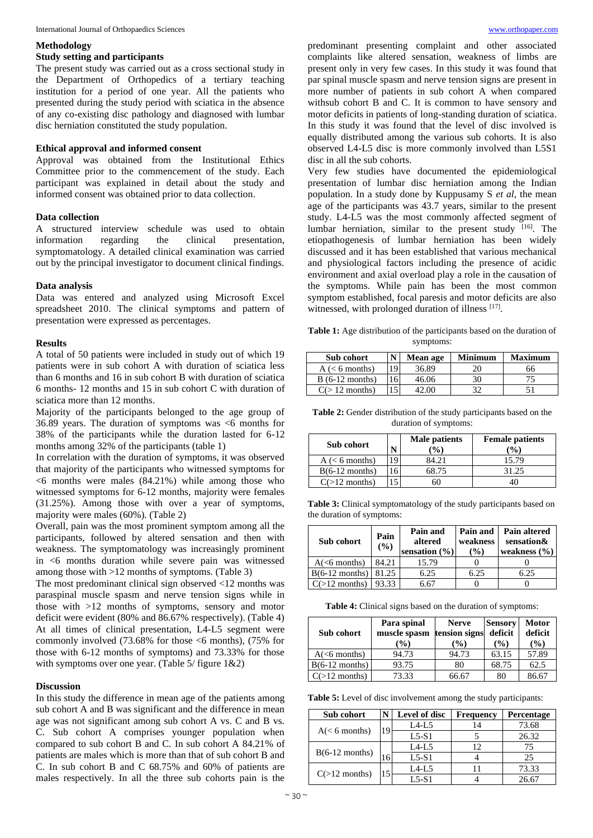## **Methodology**

# **Study setting and participants**

The present study was carried out as a cross sectional study in the Department of Orthopedics of a tertiary teaching institution for a period of one year. All the patients who presented during the study period with sciatica in the absence of any co-existing disc pathology and diagnosed with lumbar disc herniation constituted the study population.

# **Ethical approval and informed consent**

Approval was obtained from the Institutional Ethics Committee prior to the commencement of the study. Each participant was explained in detail about the study and informed consent was obtained prior to data collection.

# **Data collection**

A structured interview schedule was used to obtain information regarding the clinical presentation, symptomatology. A detailed clinical examination was carried out by the principal investigator to document clinical findings.

# **Data analysis**

Data was entered and analyzed using Microsoft Excel spreadsheet 2010. The clinical symptoms and pattern of presentation were expressed as percentages.

# **Results**

A total of 50 patients were included in study out of which 19 patients were in sub cohort A with duration of sciatica less than 6 months and 16 in sub cohort B with duration of sciatica 6 months- 12 months and 15 in sub cohort C with duration of sciatica more than 12 months.

Majority of the participants belonged to the age group of 36.89 years. The duration of symptoms was <6 months for 38% of the participants while the duration lasted for 6-12 months among 32% of the participants (table 1)

In correlation with the duration of symptoms, it was observed that majority of the participants who witnessed symptoms for  $\leq 6$  months were males (84.21%) while among those who witnessed symptoms for 6-12 months, majority were females (31.25%). Among those with over a year of symptoms, majority were males (60%). (Table 2)

Overall, pain was the most prominent symptom among all the participants, followed by altered sensation and then with weakness. The symptomatology was increasingly prominent in <6 months duration while severe pain was witnessed among those with >12 months of symptoms. (Table 3)

The most predominant clinical sign observed <12 months was paraspinal muscle spasm and nerve tension signs while in those with >12 months of symptoms, sensory and motor deficit were evident (80% and 86.67% respectively). (Table 4) At all times of clinical presentation, L4-L5 segment were commonly involved  $(73.68\%$  for those  $\leq 6$  months),  $(75\%$  for those with 6-12 months of symptoms) and 73.33% for those with symptoms over one year. (Table 5/ figure 1&2)

# **Discussion**

In this study the difference in mean age of the patients among sub cohort A and B was significant and the difference in mean age was not significant among sub cohort A vs. C and B vs. C. Sub cohort A comprises younger population when compared to sub cohort B and C. In sub cohort A 84.21% of patients are males which is more than that of sub cohort B and C. In sub cohort B and C 68.75% and 60% of patients are males respectively. In all the three sub cohorts pain is the

predominant presenting complaint and other associated complaints like altered sensation, weakness of limbs are present only in very few cases. In this study it was found that par spinal muscle spasm and nerve tension signs are present in more number of patients in sub cohort A when compared withsub cohort B and C. It is common to have sensory and motor deficits in patients of long-standing duration of sciatica. In this study it was found that the level of disc involved is equally distributed among the various sub cohorts. It is also observed L4-L5 disc is more commonly involved than L5S1 disc in all the sub cohorts.

Very few studies have documented the epidemiological presentation of lumbar disc herniation among the Indian population. In a study done by Kuppusamy S *et al*, the mean age of the participants was 43.7 years, similar to the present study. L4-L5 was the most commonly affected segment of lumbar herniation, similar to the present study [16]. The etiopathogenesis of lumbar herniation has been widely discussed and it has been established that various mechanical and physiological factors including the presence of acidic environment and axial overload play a role in the causation of the symptoms. While pain has been the most common symptom established, focal paresis and motor deficits are also witnessed, with prolonged duration of illness [17].

**Table 1:** Age distribution of the participants based on the duration of symptoms:

| Sub cohort         |     | <b>Mean age</b> | Minimum | Maximum |
|--------------------|-----|-----------------|---------|---------|
| $A \leq 6$ months) | 19  | 36.89           | 20      | 66      |
| $B(6-12$ months)   | 161 | 46.06           | 30      |         |
| $C(>12$ months)    |     | 22.00 -         | 21      |         |

Table 2: Gender distribution of the study participants based on the duration of symptoms:

| Sub cohort         | N  | Male patients<br>$\frac{9}{6}$ | <b>Female patients</b><br>$\binom{0}{0}$ |
|--------------------|----|--------------------------------|------------------------------------------|
| $A \leq 6$ months) | 19 | 84.21                          | 15.79                                    |
| $B(6-12$ months)   |    | 68.75                          | 31.25                                    |
| $C(>12$ months)    |    |                                | 40                                       |

Table 3: Clinical symptomatology of the study participants based on the duration of symptoms:

| Sub cohort       | Pain<br>$($ %) | Pain and<br>altered<br>sensation $(\% )$ | Pain and<br>weakness<br>(%) | <b>Pain altered</b><br>sensation&<br>weakness $(\% )$ |
|------------------|----------------|------------------------------------------|-----------------------------|-------------------------------------------------------|
| $A(6$ months)    | 84.21          | 15.79                                    |                             |                                                       |
| $B(6-12$ months) | 81.25          | 6.25                                     | 6.25                        | 6.25                                                  |
| $C(>12$ months)  | 93.33          | 6.67                                     |                             |                                                       |

**Table 4:** Clinical signs based on the duration of symptoms:

| Sub cohort              | Para spinal<br>muscle spasm<br>$\frac{9}{6}$ | <b>Nerve</b><br>tension signs<br>$\frac{9}{6}$ | <b>Sensory</b><br>deficit<br>(%) | <b>Motor</b><br>deficit<br>(%) |
|-------------------------|----------------------------------------------|------------------------------------------------|----------------------------------|--------------------------------|
| A( <sub>6</sub> months) | 94.73                                        | 94.73                                          | 63.15                            | 57.89                          |
| $B(6-12$ months)        | 93.75                                        | 80                                             | 68.75                            | 62.5                           |
| $C(>12$ months)         | 73.33                                        | 66.67                                          | 80                               | 86.67                          |

**Table 5:** Level of disc involvement among the study participants:

| Sub cohort       |    | Level of disc | <b>Frequency</b> | Percentage |
|------------------|----|---------------|------------------|------------|
| $A(< 6$ months)  | 19 | $L4-L5$       |                  | 73.68      |
|                  |    | $L5-S1$       |                  | 26.32      |
| $B(6-12$ months) |    | $L4-L5$       | 12               | 75         |
|                  | 16 | $L5-S1$       |                  | 25         |
| $C(>12$ months)  | 15 | L4-L5         |                  | 73.33      |
|                  |    | L5-S1         |                  | 26.67      |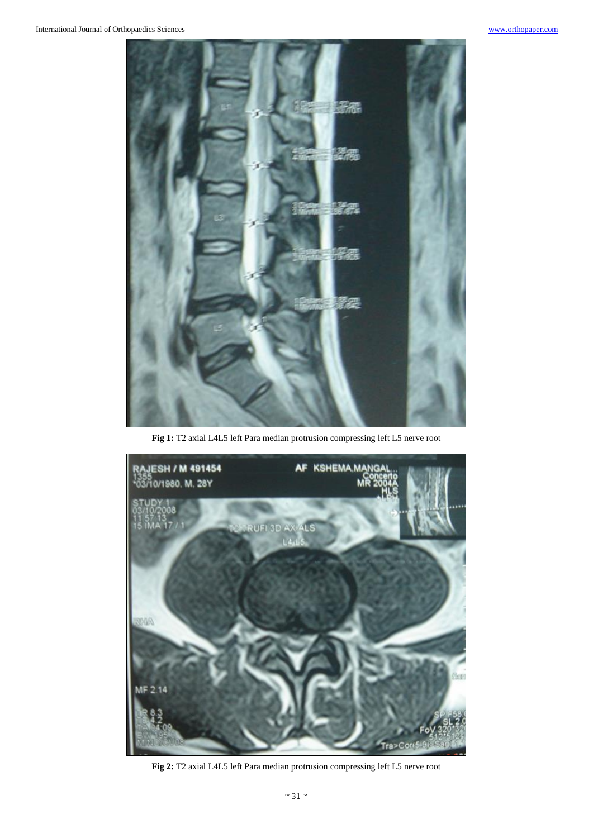

**Fig 1:** T2 axial L4L5 left Para median protrusion compressing left L5 nerve root



**Fig 2:** T2 axial L4L5 left Para median protrusion compressing left L5 nerve root